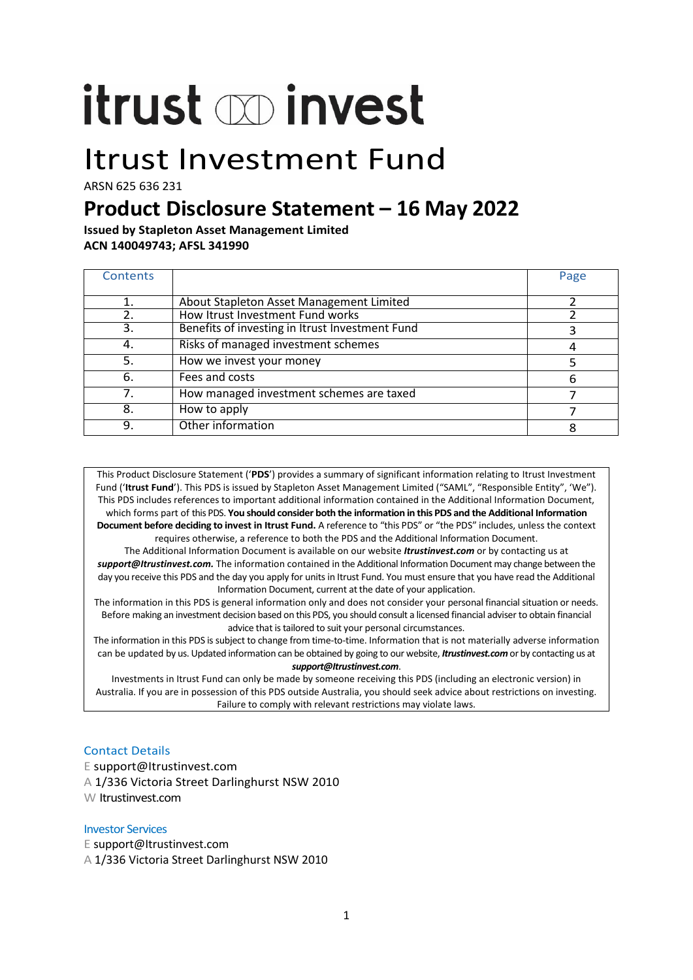# itrust op invest

## Itrust Investment Fund

ARSN 625 636 231

### **Product Disclosure Statement – 16 May 2022**

**Issued by Stapleton Asset Management Limited ACN 140049743; AFSL 341990**

| <b>Contents</b> |                                                 | Page |
|-----------------|-------------------------------------------------|------|
|                 |                                                 |      |
| 1.              | About Stapleton Asset Management Limited        |      |
| 2.              | How Itrust Investment Fund works                |      |
| 3.              | Benefits of investing in Itrust Investment Fund |      |
| 4.              | Risks of managed investment schemes             | 4    |
| 5.              | How we invest your money                        |      |
| 6.              | Fees and costs                                  | 6    |
| 7.              | How managed investment schemes are taxed        |      |
| 8.              | How to apply                                    |      |
| 9.              | Other information                               |      |

This Product Disclosure Statement ('**PDS**') provides a summary of significant information relating to Itrust Investment Fund ('**Itrust Fund**'). This PDS is issued by Stapleton Asset Management Limited ("SAML", "Responsible Entity", 'We"). This PDS includes references to important additional information contained in the Additional Information Document, which forms part of this PDS. **You should consider both the information in this PDS and the Additional Information Document before deciding to invest in Itrust Fund.** A reference to "this PDS" or "the PDS" includes, unless the context requires otherwise, a reference to both the PDS and the Additional Information Document.

The Additional Information Document is available on our website *Itrustinvest.com* or by contacting us at *support@Itrustinvest.com.* The information contained in the Additional Information Document may change between the day you receive this PDS and the day you apply for units in Itrust Fund. You must ensure that you have read the Additional Information Document, current at the date of your application.

The information in this PDS is general information only and does not consider your personal financial situation or needs. Before making an investment decision based on this PDS, you should consult a licensed financial adviser to obtain financial advice that is tailored to suit your personal circumstances.

The information in this PDS is subject to change from time-to-time. Information that is not materially adverse information can be updated by us. Updated information can be obtained by going to our website, *Itrustinvest.com* or by contacting us at *support@Itrustinvest.com*.

Investments in Itrust Fund can only be made by someone receiving this PDS (including an electronic version) in Australia. If you are in possession of this PDS outside Australia, you should seek advice about restrictions on investing. Failure to comply with relevant restrictions may violate laws.

#### Contact Details

E support@Itrustinvest.com A 1/336 Victoria Street Darlinghurst NSW 2010 W Itrustinvest.com

#### Investor Services

E support@Itrustinvest.com

A 1/336 Victoria Street Darlinghurst NSW 2010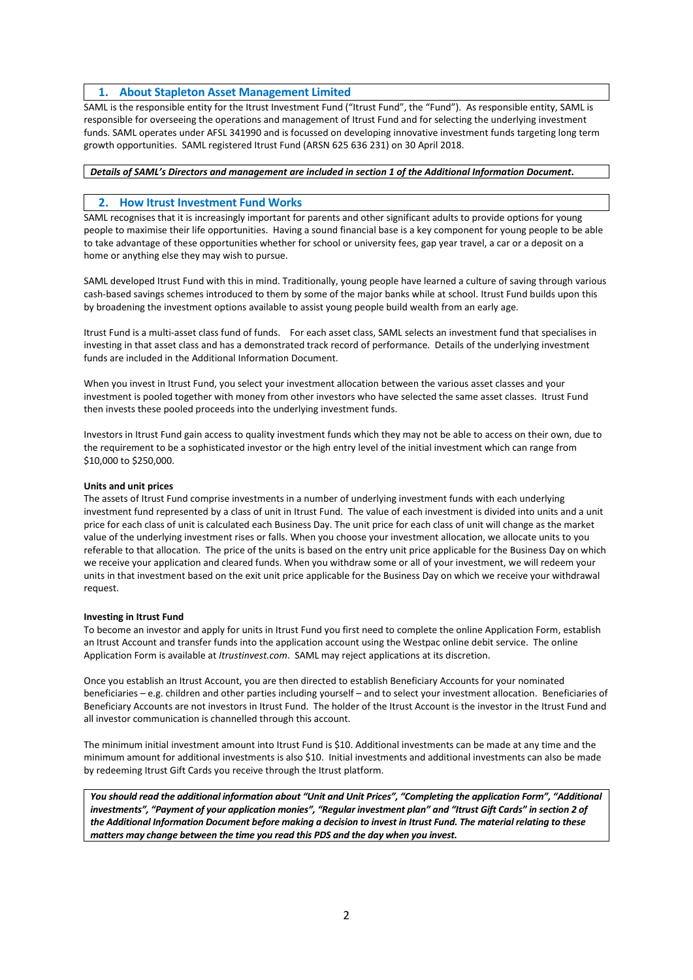#### **1. About Stapleton Asset Management Limited**

SAML is the responsible entity for the Itrust Investment Fund ("Itrust Fund", the "Fund"). As responsible entity, SAML is responsible for overseeing the operations and management of Itrust Fund and for selecting the underlying investment funds. SAML operates under AFSL 341990 and is focussed on developing innovative investment funds targeting long term growth opportunities. SAML registered Itrust Fund (ARSN 625 636 231) on 30 April 2018.

#### *Details of SAML's Directors and management are included in section 1 of the Additional Information Document.*

#### **2. How Itrust Investment Fund Works**

SAML recognises that it is increasingly important for parents and other significant adults to provide options for young people to maximise their life opportunities. Having a sound financial base is a key component for young people to be able to take advantage of these opportunities whether for school or university fees, gap year travel, a car or a deposit on a home or anything else they may wish to pursue.

SAML developed Itrust Fund with this in mind. Traditionally, young people have learned a culture of saving through various cash-based savings schemes introduced to them by some of the major banks while at school. Itrust Fund builds upon this by broadening the investment options available to assist young people build wealth from an early age.

Itrust Fund is a multi-asset class fund of funds. For each asset class, SAML selects an investment fund that specialises in investing in that asset class and has a demonstrated track record of performance. Details of the underlying investment funds are included in the Additional Information Document.

When you invest in Itrust Fund, you select your investment allocation between the various asset classes and your investment is pooled together with money from other investors who have selected the same asset classes. Itrust Fund then invests these pooled proceeds into the underlying investment funds.

Investors in Itrust Fund gain access to quality investment funds which they may not be able to access on their own, due to the requirement to be a sophisticated investor or the high entry level of the initial investment which can range from \$10,000 to \$250,000.

#### **Units and unit prices**

The assets of Itrust Fund comprise investments in a number of underlying investment funds with each underlying investment fund represented by a class of unit in Itrust Fund. The value of each investment is divided into units and a unit price for each class of unit is calculated each Business Day. The unit price for each class of unit will change as the market value of the underlying investment rises or falls. When you choose your investment allocation, we allocate units to you referable to that allocation. The price of the units is based on the entry unit price applicable for the Business Day on which we receive your application and cleared funds. When you withdraw some or all of your investment, we will redeem your units in that investment based on the exit unit price applicable for the Business Day on which we receive your withdrawal request.

#### **Investing in Itrust Fund**

To become an investor and apply for units in Itrust Fund you first need to complete the online Application Form, establish an Itrust Account and transfer funds into the application account using the Westpac online debit service. The online Application Form is available at *Itrustinvest.com*. SAML may reject applications at its discretion.

Once you establish an Itrust Account, you are then directed to establish Beneficiary Accounts for your nominated beneficiaries – e.g. children and other parties including yourself – and to select your investment allocation. Beneficiaries of Beneficiary Accounts are not investors in Itrust Fund. The holder of the Itrust Account is the investor in the Itrust Fund and all investor communication is channelled through this account.

The minimum initial investment amount into Itrust Fund is \$10. Additional investments can be made at any time and the minimum amount for additional investments is also \$10. Initial investments and additional investments can also be made by redeeming Itrust Gift Cards you receive through the Itrust platform.

*You should read the additional information about "Unit and Unit Prices", "Completing the application Form", "Additional investments", "Payment of your application monies", "Regular investment plan" and "Itrust Gift Cards" in section 2 of the Additional Information Document before making a decision to invest in Itrust Fund. The material relating to these matters may change between the time you read this PDS and the day when you invest.*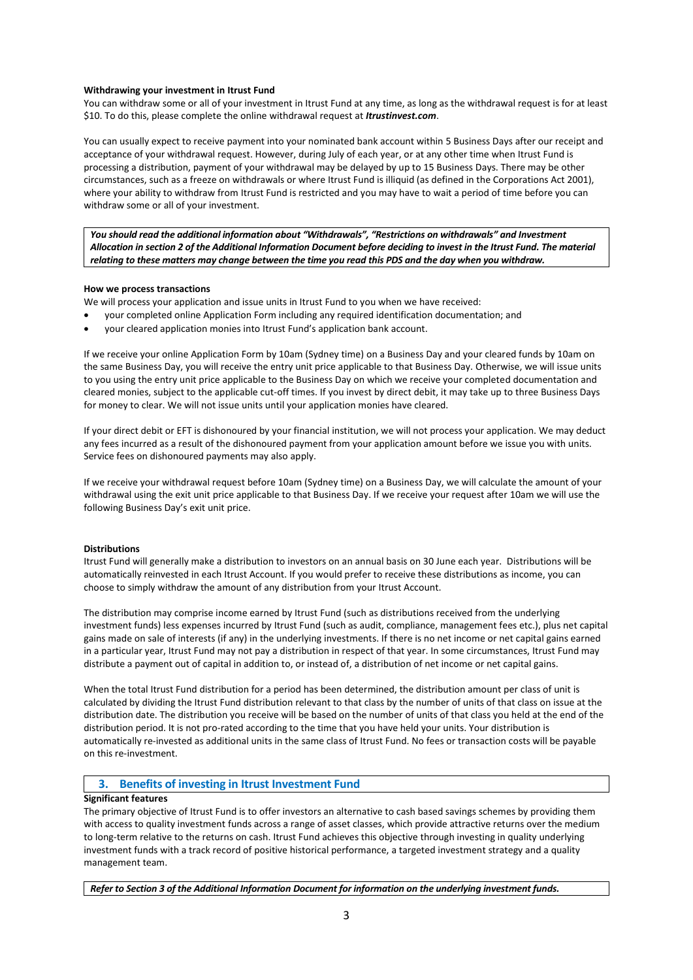#### **Withdrawing your investment in Itrust Fund**

You can withdraw some or all of your investment in Itrust Fund at any time, as long as the withdrawal request is for at least \$10. To do this, please complete the online withdrawal request at *Itrustinvest.com*.

You can usually expect to receive payment into your nominated bank account within 5 Business Days after our receipt and acceptance of your withdrawal request. However, during July of each year, or at any other time when Itrust Fund is processing a distribution, payment of your withdrawal may be delayed by up to 15 Business Days. There may be other circumstances, such as a freeze on withdrawals or where Itrust Fund is illiquid (as defined in the Corporations Act 2001), where your ability to withdraw from Itrust Fund is restricted and you may have to wait a period of time before you can withdraw some or all of your investment.

*You should read the additional information about "Withdrawals", "Restrictions on withdrawals" and Investment Allocation in section 2 of the Additional Information Document before deciding to invest in the Itrust Fund. The material relating to these matters may change between the time you read this PDS and the day when you withdraw.*

#### **How we process transactions**

We will process your application and issue units in Itrust Fund to you when we have received:

- your completed online Application Form including any required identification documentation; and
- your cleared application monies into Itrust Fund's application bank account.

If we receive your online Application Form by 10am (Sydney time) on a Business Day and your cleared funds by 10am on the same Business Day, you will receive the entry unit price applicable to that Business Day. Otherwise, we will issue units to you using the entry unit price applicable to the Business Day on which we receive your completed documentation and cleared monies, subject to the applicable cut-off times. If you invest by direct debit, it may take up to three Business Days for money to clear. We will not issue units until your application monies have cleared.

If your direct debit or EFT is dishonoured by your financial institution, we will not process your application. We may deduct any fees incurred as a result of the dishonoured payment from your application amount before we issue you with units. Service fees on dishonoured payments may also apply.

If we receive your withdrawal request before 10am (Sydney time) on a Business Day, we will calculate the amount of your withdrawal using the exit unit price applicable to that Business Day. If we receive your request after 10am we will use the following Business Day's exit unit price.

#### **Distributions**

Itrust Fund will generally make a distribution to investors on an annual basis on 30 June each year. Distributions will be automatically reinvested in each Itrust Account. If you would prefer to receive these distributions as income, you can choose to simply withdraw the amount of any distribution from your Itrust Account.

The distribution may comprise income earned by Itrust Fund (such as distributions received from the underlying investment funds) less expenses incurred by Itrust Fund (such as audit, compliance, management fees etc.), plus net capital gains made on sale of interests (if any) in the underlying investments. If there is no net income or net capital gains earned in a particular year, Itrust Fund may not pay a distribution in respect of that year. In some circumstances, Itrust Fund may distribute a payment out of capital in addition to, or instead of, a distribution of net income or net capital gains.

When the total Itrust Fund distribution for a period has been determined, the distribution amount per class of unit is calculated by dividing the Itrust Fund distribution relevant to that class by the number of units of that class on issue at the distribution date. The distribution you receive will be based on the number of units of that class you held at the end of the distribution period. It is not pro-rated according to the time that you have held your units. Your distribution is automatically re-invested as additional units in the same class of Itrust Fund. No fees or transaction costs will be payable on this re-investment.

#### **3. Benefits of investing in Itrust Investment Fund**

#### **Significant features**

The primary objective of Itrust Fund is to offer investors an alternative to cash based savings schemes by providing them with access to quality investment funds across a range of asset classes, which provide attractive returns over the medium to long-term relative to the returns on cash. Itrust Fund achieves this objective through investing in quality underlying investment funds with a track record of positive historical performance, a targeted investment strategy and a quality management team.

*Refer to Section 3 of the Additional Information Document for information on the underlying investment funds.*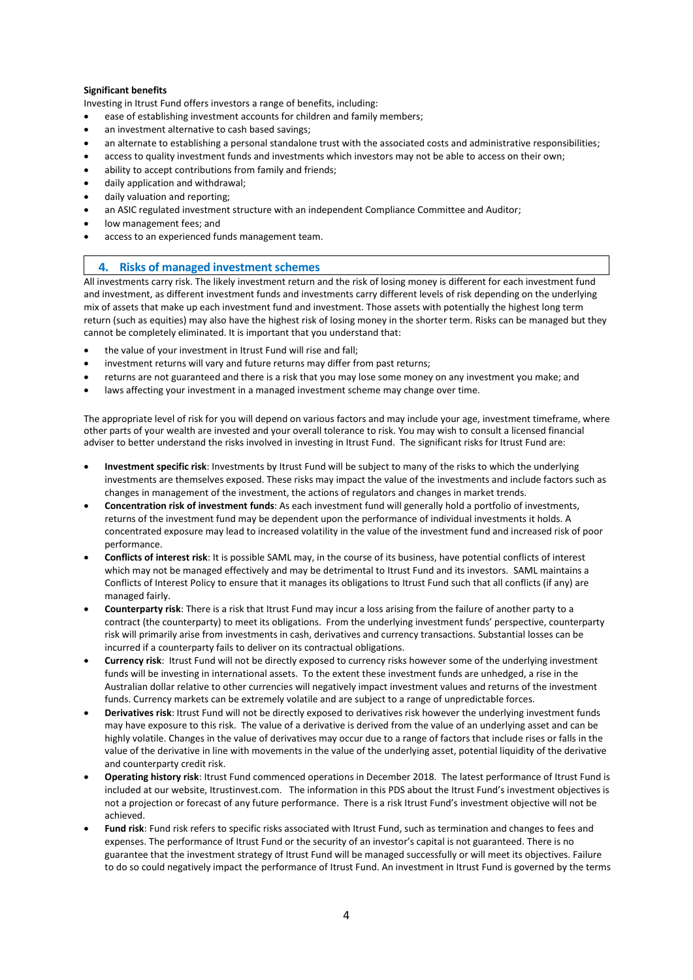#### **Significant benefits**

Investing in Itrust Fund offers investors a range of benefits, including:

- ease of establishing investment accounts for children and family members;
- an investment alternative to cash based savings;
- an alternate to establishing a personal standalone trust with the associated costs and administrative responsibilities;
- access to quality investment funds and investments which investors may not be able to access on their own;
- ability to accept contributions from family and friends;
- daily application and withdrawal;
- daily valuation and reporting;
- an ASIC regulated investment structure with an independent Compliance Committee and Auditor;
- low management fees; and
- access to an experienced funds management team.

#### **4. Risks of managed investment schemes**

All investments carry risk. The likely investment return and the risk of losing money is different for each investment fund and investment, as different investment funds and investments carry different levels of risk depending on the underlying mix of assets that make up each investment fund and investment. Those assets with potentially the highest long term return (such as equities) may also have the highest risk of losing money in the shorter term. Risks can be managed but they cannot be completely eliminated. It is important that you understand that:

- the value of your investment in Itrust Fund will rise and fall;
- investment returns will vary and future returns may differ from past returns;
- returns are not guaranteed and there is a risk that you may lose some money on any investment you make; and
- laws affecting your investment in a managed investment scheme may change over time.

The appropriate level of risk for you will depend on various factors and may include your age, investment timeframe, where other parts of your wealth are invested and your overall tolerance to risk. You may wish to consult a licensed financial adviser to better understand the risks involved in investing in Itrust Fund. The significant risks for Itrust Fund are:

- **Investment specific risk**: Investments by Itrust Fund will be subject to many of the risks to which the underlying investments are themselves exposed. These risks may impact the value of the investments and include factors such as changes in management of the investment, the actions of regulators and changes in market trends.
- **Concentration risk of investment funds**: As each investment fund will generally hold a portfolio of investments, returns of the investment fund may be dependent upon the performance of individual investments it holds. A concentrated exposure may lead to increased volatility in the value of the investment fund and increased risk of poor performance.
- **Conflicts of interest risk**: It is possible SAML may, in the course of its business, have potential conflicts of interest which may not be managed effectively and may be detrimental to Itrust Fund and its investors. SAML maintains a Conflicts of Interest Policy to ensure that it manages its obligations to Itrust Fund such that all conflicts (if any) are managed fairly.
- **Counterparty risk**: There is a risk that Itrust Fund may incur a loss arising from the failure of another party to a contract (the counterparty) to meet its obligations. From the underlying investment funds' perspective, counterparty risk will primarily arise from investments in cash, derivatives and currency transactions. Substantial losses can be incurred if a counterparty fails to deliver on its contractual obligations.
- **Currency risk**: Itrust Fund will not be directly exposed to currency risks however some of the underlying investment funds will be investing in international assets. To the extent these investment funds are unhedged, a rise in the Australian dollar relative to other currencies will negatively impact investment values and returns of the investment funds. Currency markets can be extremely volatile and are subject to a range of unpredictable forces.
- **Derivatives risk**: Itrust Fund will not be directly exposed to derivatives risk however the underlying investment funds may have exposure to this risk. The value of a derivative is derived from the value of an underlying asset and can be highly volatile. Changes in the value of derivatives may occur due to a range of factors that include rises or falls in the value of the derivative in line with movements in the value of the underlying asset, potential liquidity of the derivative and counterparty credit risk.
- **Operating history risk**: Itrust Fund commenced operations in December 2018. The latest performance of Itrust Fund is included at our website, Itrustinvest.com. The information in this PDS about the Itrust Fund's investment objectives is not a projection or forecast of any future performance. There is a risk Itrust Fund's investment objective will not be achieved.
- **Fund risk**: Fund risk refers to specific risks associated with Itrust Fund, such as termination and changes to fees and expenses. The performance of Itrust Fund or the security of an investor's capital is not guaranteed. There is no guarantee that the investment strategy of Itrust Fund will be managed successfully or will meet its objectives. Failure to do so could negatively impact the performance of Itrust Fund. An investment in Itrust Fund is governed by the terms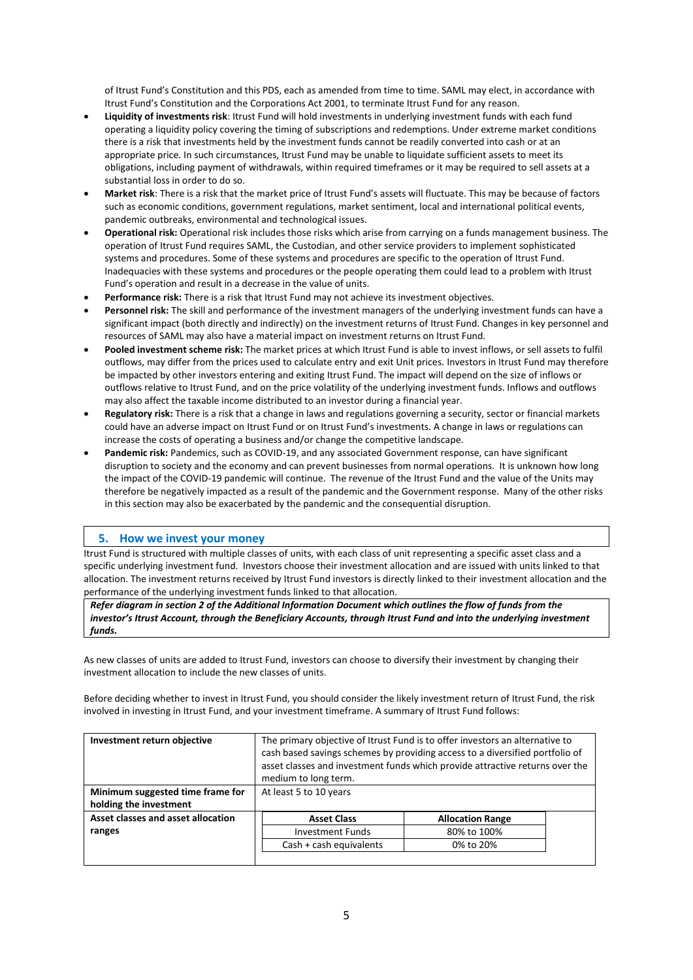of Itrust Fund's Constitution and this PDS, each as amended from time to time. SAML may elect, in accordance with Itrust Fund's Constitution and the Corporations Act 2001, to terminate Itrust Fund for any reason.

- **Liquidity of investments risk**: Itrust Fund will hold investments in underlying investment funds with each fund operating a liquidity policy covering the timing of subscriptions and redemptions. Under extreme market conditions there is a risk that investments held by the investment funds cannot be readily converted into cash or at an appropriate price. In such circumstances, Itrust Fund may be unable to liquidate sufficient assets to meet its obligations, including payment of withdrawals, within required timeframes or it may be required to sell assets at a substantial loss in order to do so.
- **Market risk**: There is a risk that the market price of Itrust Fund's assets will fluctuate. This may be because of factors such as economic conditions, government regulations, market sentiment, local and international political events, pandemic outbreaks, environmental and technological issues.
- **Operational risk:** Operational risk includes those risks which arise from carrying on a funds management business. The operation of Itrust Fund requires SAML, the Custodian, and other service providers to implement sophisticated systems and procedures. Some of these systems and procedures are specific to the operation of Itrust Fund. Inadequacies with these systems and procedures or the people operating them could lead to a problem with Itrust Fund's operation and result in a decrease in the value of units.
- **Performance risk:** There is a risk that Itrust Fund may not achieve its investment objectives.
- **Personnel risk:** The skill and performance of the investment managers of the underlying investment funds can have a significant impact (both directly and indirectly) on the investment returns of Itrust Fund. Changes in key personnel and resources of SAML may also have a material impact on investment returns on Itrust Fund.
- **Pooled investment scheme risk:** The market prices at which Itrust Fund is able to invest inflows, or sell assets to fulfil outflows, may differ from the prices used to calculate entry and exit Unit prices. Investors in Itrust Fund may therefore be impacted by other investors entering and exiting Itrust Fund. The impact will depend on the size of inflows or outflows relative to Itrust Fund, and on the price volatility of the underlying investment funds. Inflows and outflows may also affect the taxable income distributed to an investor during a financial year.
- **Regulatory risk:** There is a risk that a change in laws and regulations governing a security, sector or financial markets could have an adverse impact on Itrust Fund or on Itrust Fund's investments. A change in laws or regulations can increase the costs of operating a business and/or change the competitive landscape.
- **Pandemic risk:** Pandemics, such as COVID-19, and any associated Government response, can have significant disruption to society and the economy and can prevent businesses from normal operations. It is unknown how long the impact of the COVID-19 pandemic will continue. The revenue of the Itrust Fund and the value of the Units may therefore be negatively impacted as a result of the pandemic and the Government response. Many of the other risks in this section may also be exacerbated by the pandemic and the consequential disruption.

#### **5. How we invest your money**

Itrust Fund is structured with multiple classes of units, with each class of unit representing a specific asset class and a specific underlying investment fund. Investors choose their investment allocation and are issued with units linked to that allocation. The investment returns received by Itrust Fund investors is directly linked to their investment allocation and the performance of the underlying investment funds linked to that allocation.

*Refer diagram in section 2 of the Additional Information Document which outlines the flow of funds from the investor's Itrust Account, through the Beneficiary Accounts, through Itrust Fund and into the underlying investment funds.*

As new classes of units are added to Itrust Fund, investors can choose to diversify their investment by changing their investment allocation to include the new classes of units.

Before deciding whether to invest in Itrust Fund, you should consider the likely investment return of Itrust Fund, the risk involved in investing in Itrust Fund, and your investment timeframe. A summary of Itrust Fund follows:

| Investment return objective        | The primary objective of Itrust Fund is to offer investors an alternative to<br>cash based savings schemes by providing access to a diversified portfolio of<br>asset classes and investment funds which provide attractive returns over the<br>medium to long term. |                         |
|------------------------------------|----------------------------------------------------------------------------------------------------------------------------------------------------------------------------------------------------------------------------------------------------------------------|-------------------------|
| Minimum suggested time frame for   | At least 5 to 10 years                                                                                                                                                                                                                                               |                         |
| holding the investment             |                                                                                                                                                                                                                                                                      |                         |
| Asset classes and asset allocation | <b>Asset Class</b>                                                                                                                                                                                                                                                   | <b>Allocation Range</b> |
| ranges                             | <b>Investment Funds</b>                                                                                                                                                                                                                                              | 80% to 100%             |
|                                    | Cash + cash equivalents                                                                                                                                                                                                                                              | 0% to 20%               |
|                                    |                                                                                                                                                                                                                                                                      |                         |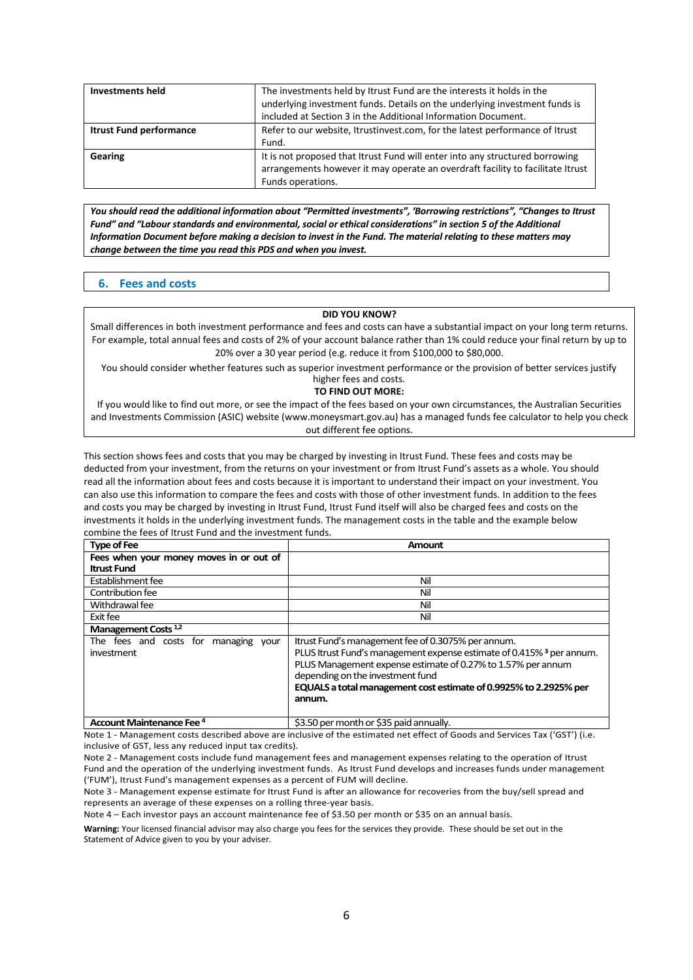| <b>Investments held</b>        | The investments held by Itrust Fund are the interests it holds in the<br>underlying investment funds. Details on the underlying investment funds is                                 |
|--------------------------------|-------------------------------------------------------------------------------------------------------------------------------------------------------------------------------------|
|                                | included at Section 3 in the Additional Information Document.                                                                                                                       |
| <b>Itrust Fund performance</b> | Refer to our website, Itrustinvest.com, for the latest performance of Itrust<br>Fund.                                                                                               |
| Gearing                        | It is not proposed that Itrust Fund will enter into any structured borrowing<br>arrangements however it may operate an overdraft facility to facilitate Itrust<br>Funds operations. |

*You should read the additional information about "Permitted investments", 'Borrowing restrictions", "Changes to Itrust* Fund" and "Labour standards and environmental, social or ethical considerations" in section 5 of the Additional *Information Document before making a decision to invest in the Fund. The material relating to these matters may change between the time you read this PDS and when you invest.*

#### **6. Fees and costs**

#### **DID YOU KNOW?**

Small differences in both investment performance and fees and costs can have a substantial impact on your long term returns. For example, total annual fees and costs of 2% of your account balance rather than 1% could reduce your final return by up to 20% over a 30 year period (e.g. reduce it from \$100,000 to \$80,000.

You should consider whether features such as superior investment performance or the provision of better services justify higher fees and costs.

#### **TO FIND OUT MORE:**

If you would like to find out more, or see the impact of the fees based on your own circumstances, the Australian Securities and Investments Commission (ASIC) website [\(www.moneysmart.gov.au\)](http://www.moneysmart.gov.au/) has a managed funds fee calculator to help you check out different fee options.

This section shows fees and costs that you may be charged by investing in Itrust Fund. These fees and costs may be deducted from your investment, from the returns on your investment or from Itrust Fund's assets as a whole. You should read all the information about fees and costs because it is important to understand their impact on your investment. You can also use this information to compare the fees and costs with those of other investment funds. In addition to the fees and costs you may be charged by investing in Itrust Fund, Itrust Fund itself will also be charged fees and costs on the investments it holds in the underlying investment funds. The management costs in the table and the example below combine the fees of Itrust Fund and the investment funds.

| <b>Type of Fee</b>                                       | Amount                                                                                                                                                                                                                                                                                                                    |
|----------------------------------------------------------|---------------------------------------------------------------------------------------------------------------------------------------------------------------------------------------------------------------------------------------------------------------------------------------------------------------------------|
| Fees when your money moves in or out of                  |                                                                                                                                                                                                                                                                                                                           |
| <b>Itrust Fund</b>                                       |                                                                                                                                                                                                                                                                                                                           |
| Establishment fee                                        | Nil                                                                                                                                                                                                                                                                                                                       |
| Contribution fee                                         | Nil                                                                                                                                                                                                                                                                                                                       |
| Withdrawal fee                                           | Nil                                                                                                                                                                                                                                                                                                                       |
| Exit fee                                                 | Nil                                                                                                                                                                                                                                                                                                                       |
| Management Costs <sup>1,2</sup>                          |                                                                                                                                                                                                                                                                                                                           |
| The fees and costs for<br>managing<br>vour<br>investment | Itrust Fund's management fee of 0.3075% per annum.<br>PLUS Itrust Fund's management expense estimate of 0.415% <sup>3</sup> per annum.<br>PLUS Management expense estimate of 0.27% to 1.57% per annum<br>depending on the investment fund<br>EQUALS a total management cost estimate of 0.9925% to 2.2925% per<br>annum. |
| <b>Account Maintenance Fee 4</b>                         | \$3.50 per month or \$35 paid annually.                                                                                                                                                                                                                                                                                   |

Note 1 - Management costs described above are inclusive of the estimated net effect of Goods and Services Tax ('GST') (i.e. inclusive of GST, less any reduced input tax credits).

Note 2 - Management costs include fund management fees and management expenses relating to the operation of Itrust Fund and the operation of the underlying investment funds. As Itrust Fund develops and increases funds under management ('FUM'), Itrust Fund's management expenses as a percent of FUM will decline.

Note 3 - Management expense estimate for Itrust Fund is after an allowance for recoveries from the buy/sell spread and represents an average of these expenses on a rolling three-year basis.

Note 4 – Each investor pays an account maintenance fee of \$3.50 per month or \$35 on an annual basis.

**Warning:** Your licensed financial advisor may also charge you fees for the services they provide. These should be set out in the Statement of Advice given to you by your adviser.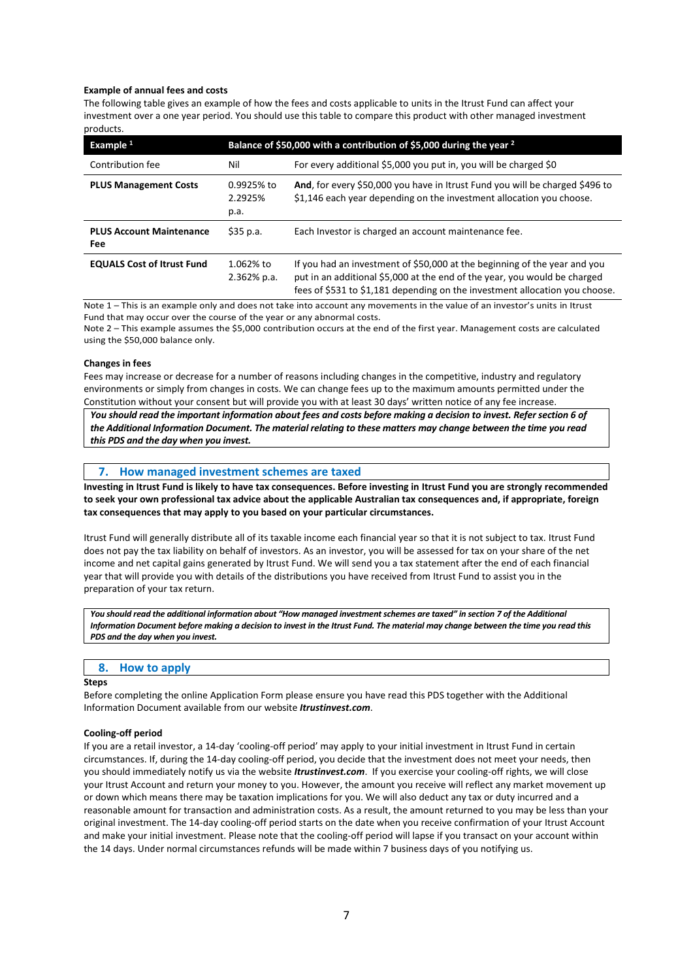#### **Example of annual fees and costs**

The following table gives an example of how the fees and costs applicable to units in the Itrust Fund can affect your investment over a one year period. You should use this table to compare this product with other managed investment products.

| Example 1                                     | Balance of \$50,000 with a contribution of \$5,000 during the year <sup>2</sup> |                                                                                                                                                                                                                                       |  |
|-----------------------------------------------|---------------------------------------------------------------------------------|---------------------------------------------------------------------------------------------------------------------------------------------------------------------------------------------------------------------------------------|--|
| Contribution fee                              | Nil                                                                             | For every additional \$5,000 you put in, you will be charged \$0                                                                                                                                                                      |  |
| <b>PLUS Management Costs</b>                  | 0.9925% to<br>2.2925%<br>p.a.                                                   | And, for every \$50,000 you have in Itrust Fund you will be charged \$496 to<br>\$1,146 each year depending on the investment allocation you choose.                                                                                  |  |
| <b>PLUS Account Maintenance</b><br><b>Fee</b> | \$35 p.a.                                                                       | Each Investor is charged an account maintenance fee.                                                                                                                                                                                  |  |
| <b>EQUALS Cost of Itrust Fund</b>             | 1.062% to<br>$2.362%$ p.a.                                                      | If you had an investment of \$50,000 at the beginning of the year and you<br>put in an additional \$5,000 at the end of the year, you would be charged<br>fees of \$531 to \$1,181 depending on the investment allocation you choose. |  |

Note 1 – This is an example only and does not take into account any movements in the value of an investor's units in Itrust Fund that may occur over the course of the year or any abnormal costs.

Note 2 – This example assumes the \$5,000 contribution occurs at the end of the first year. Management costs are calculated using the \$50,000 balance only.

#### **Changes in fees**

Fees may increase or decrease for a number of reasons including changes in the competitive, industry and regulatory environments or simply from changes in costs. We can change fees up to the maximum amounts permitted under the Constitution without your consent but will provide you with at least 30 days' written notice of any fee increase.

*You should read the important information about fees and costs before making a decision to invest. Refer section 6 of the Additional Information Document. The material relating to these matters may change between the time you read this PDS and the day when you invest.*

#### **7. How managed investment schemes are taxed**

**Investing in Itrust Fund is likely to have tax consequences. Before investing in Itrust Fund you are strongly recommended to seek your own professional tax advice about the applicable Australian tax consequences and, if appropriate, foreign tax consequences that may apply to you based on your particular circumstances.**

Itrust Fund will generally distribute all of its taxable income each financial year so that it is not subject to tax. Itrust Fund does not pay the tax liability on behalf of investors. As an investor, you will be assessed for tax on your share of the net income and net capital gains generated by Itrust Fund. We will send you a tax statement after the end of each financial year that will provide you with details of the distributions you have received from Itrust Fund to assist you in the preparation of your tax return.

*You should read the additional information about "How managed investment schemes are taxed" in section 7 of the Additional Information Document before making a decision to invest in the Itrust Fund. The material may change between the time you read this PDS and the day when you invest.*

#### **8. How to apply**

#### **Steps**

Before completing the online Application Form please ensure you have read this PDS together with the Additional Information Document available from our website *Itrustinvest.com*.

#### **Cooling-off period**

If you are a retail investor, a 14-day 'cooling-off period' may apply to your initial investment in Itrust Fund in certain circumstances. If, during the 14-day cooling-off period, you decide that the investment does not meet your needs, then you should immediately notify us via the website *Itrustinvest.com*. If you exercise your cooling-off rights, we will close your Itrust Account and return your money to you. However, the amount you receive will reflect any market movement up or down which means there may be taxation implications for you. We will also deduct any tax or duty incurred and a reasonable amount for transaction and administration costs. As a result, the amount returned to you may be less than your original investment. The 14-day cooling-off period starts on the date when you receive confirmation of your Itrust Account and make your initial investment. Please note that the cooling-off period will lapse if you transact on your account within the 14 days. Under normal circumstances refunds will be made within 7 business days of you notifying us.